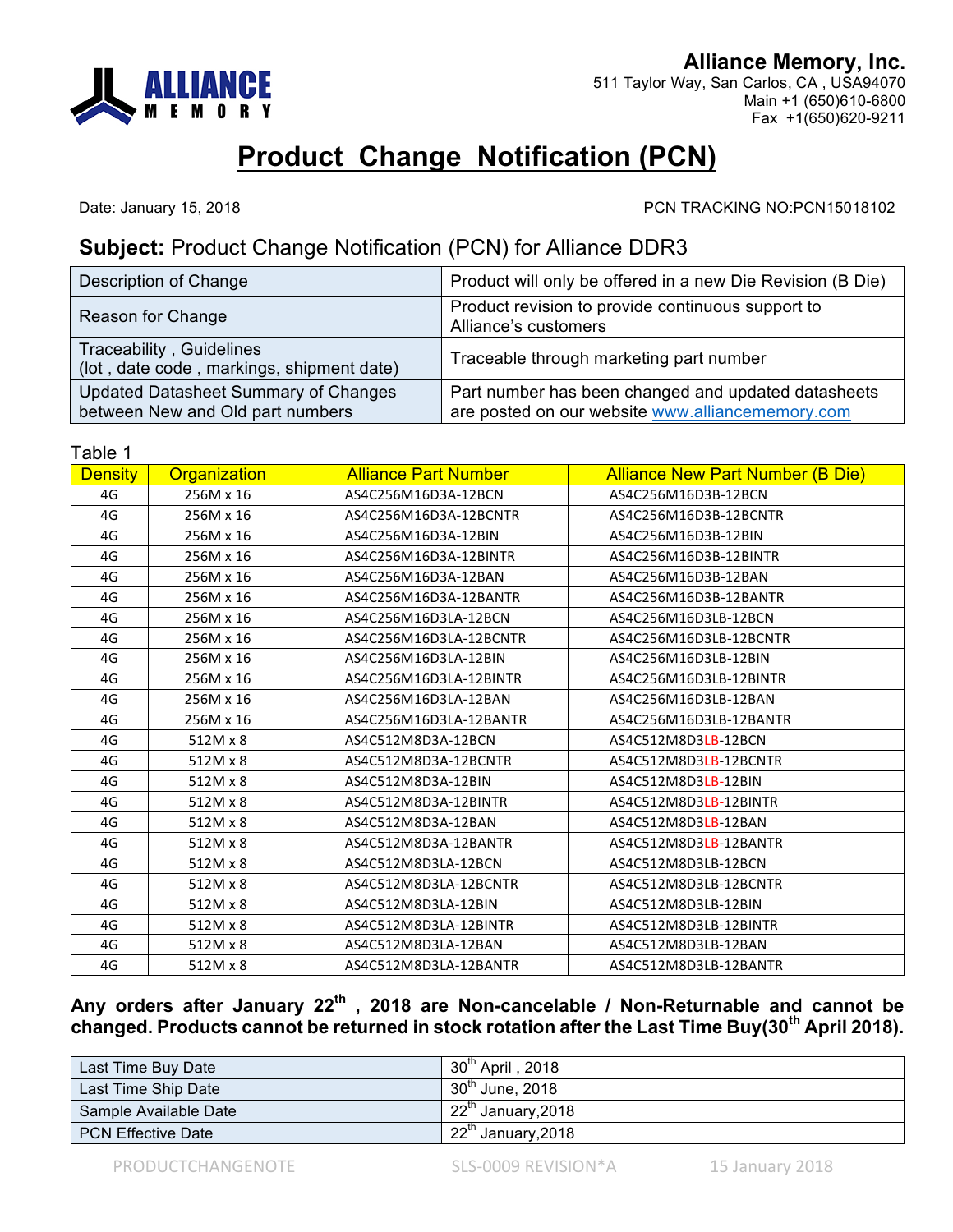

**Alliance Memory, Inc.** 511 Taylor Way, San Carlos, CA , USA94070 Main +1 (650)610-6800 Fax +1(650)620-9211

## **Product Change Notification (PCN)**

Date: January 15, 2018 PCN TRACKING NO:PCN15018102

## **Subject:** Product Change Notification (PCN) for Alliance DDR3

| Description of Change                                                           | Product will only be offered in a new Die Revision (B Die)                                              |
|---------------------------------------------------------------------------------|---------------------------------------------------------------------------------------------------------|
| Reason for Change                                                               | Product revision to provide continuous support to<br>Alliance's customers                               |
| Traceability, Guidelines<br>(lot, date code, markings, shipment date)           | Traceable through marketing part number                                                                 |
| <b>Updated Datasheet Summary of Changes</b><br>between New and Old part numbers | Part number has been changed and updated datasheets<br>are posted on our website www.alliancememory.com |

Table 1

| <b>Density</b> | Organization | <b>Alliance Part Number</b> | <b>Alliance New Part Number (B Die)</b> |
|----------------|--------------|-----------------------------|-----------------------------------------|
| 4G             | 256M x 16    | AS4C256M16D3A-12BCN         | AS4C256M16D3B-12BCN                     |
| 4G             | 256M x 16    | AS4C256M16D3A-12BCNTR       | AS4C256M16D3B-12BCNTR                   |
| 4G             | 256M x 16    | AS4C256M16D3A-12BIN         | AS4C256M16D3B-12BIN                     |
| 4G             | 256M x 16    | AS4C256M16D3A-12BINTR       | AS4C256M16D3B-12BINTR                   |
| 4G             | 256M x 16    | AS4C256M16D3A-12BAN         | AS4C256M16D3B-12BAN                     |
| 4G             | 256M x 16    | AS4C256M16D3A-12BANTR       | AS4C256M16D3B-12BANTR                   |
| 4G             | 256M x 16    | AS4C256M16D3LA-12BCN        | AS4C256M16D3LB-12BCN                    |
| 4G             | 256M x 16    | AS4C256M16D3LA-12BCNTR      | AS4C256M16D3LB-12BCNTR                  |
| 4G             | 256M x 16    | AS4C256M16D3LA-12BIN        | AS4C256M16D3LB-12BIN                    |
| 4G             | 256M x 16    | AS4C256M16D3LA-12BINTR      | AS4C256M16D3LB-12BINTR                  |
| 4G             | 256M x 16    | AS4C256M16D3LA-12BAN        | AS4C256M16D3LB-12BAN                    |
| 4G             | 256M x 16    | AS4C256M16D3LA-12BANTR      | AS4C256M16D3LB-12BANTR                  |
| 4G             | 512M x 8     | AS4C512M8D3A-12BCN          | AS4C512M8D3LB-12BCN                     |
| 4G             | 512M x 8     | AS4C512M8D3A-12BCNTR        | AS4C512M8D3LB-12BCNTR                   |
| 4G             | 512M x 8     | AS4C512M8D3A-12BIN          | AS4C512M8D3LB-12BIN                     |
| 4G             | 512M x 8     | AS4C512M8D3A-12BINTR        | AS4C512M8D3LB-12BINTR                   |
| 4G             | 512M x 8     | AS4C512M8D3A-12BAN          | AS4C512M8D3LB-12BAN                     |
| 4G             | 512M x 8     | AS4C512M8D3A-12BANTR        | AS4C512M8D3LB-12BANTR                   |
| 4G             | 512M x 8     | AS4C512M8D3LA-12BCN         | AS4C512M8D3LB-12BCN                     |
| 4G             | 512M x 8     | AS4C512M8D3LA-12BCNTR       | AS4C512M8D3LB-12BCNTR                   |
| 4G             | 512M x 8     | AS4C512M8D3LA-12BIN         | AS4C512M8D3LB-12BIN                     |
| 4G             | 512M x 8     | AS4C512M8D3LA-12BINTR       | AS4C512M8D3LB-12BINTR                   |
| 4G             | 512M x 8     | AS4C512M8D3LA-12BAN         | AS4C512M8D3LB-12BAN                     |
| 4G             | 512M x 8     | AS4C512M8D3LA-12BANTR       | AS4C512M8D3LB-12BANTR                   |
|                |              |                             |                                         |

**Any orders after January 22th , 2018 are Non-cancelable / Non-Returnable and cannot be changed. Products cannot be returned in stock rotation after the Last Time Buy(30th April 2018).** 

| Last Time Buy Date        | $30^{\text{th}}$ April, 2018   |
|---------------------------|--------------------------------|
| Last Time Ship Date       | $30^{\text{th}}$ June, 2018    |
| Sample Available Date     | 22 <sup>th</sup> January, 2018 |
| <b>PCN Effective Date</b> | $22th$ January, 2018           |